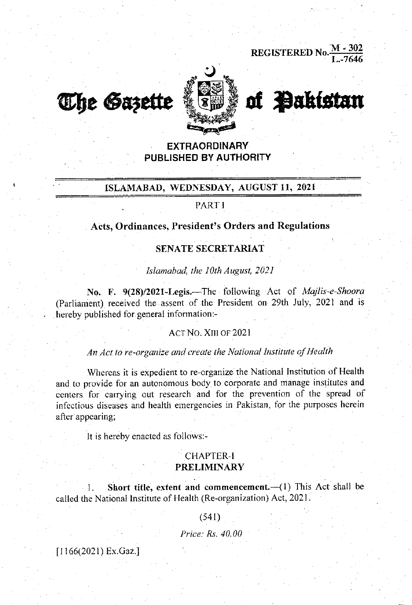REGISTERED No.  $\frac{M - 302}{L - 7646}$ 





# of **Pakistan**

# **EXTRAORDINARY** PUBLISHED BY AUTHORITY

# ISLAMABAD, WEDNESDAY, AUGUST 11, 2021

# **PARTI**

#### Acts, Ordinances, President's Orders and Regulations

#### **SENATE SECRETARIAT**

Islamabad, the 10th August, 2021

No. F. 9(28)/2021-Legis.-The following Act of Majlis-e-Shoora (Parliament) received the assent of the President on 29th July, 2021 and is hereby published for general information:-

#### ACT NO. XIII OF 2021

### An Act to re-organize and create the National Institute of Health

Whereas it is expedient to re-organize the National Institution of Health and to provide for an autonomous body to corporate and manage institutes and centers for carrying out research and for the prevention of the spread of infectious diseases and health emergencies in Pakistan, for the purposes herein after appearing;

It is hereby enacted as follows:-

# **CHAPTER-I PRELIMINARY**

Short title, extent and commencement.-(1) This Act shall be 1. called the National Institute of Health (Re-organization) Act, 2021.

#### $(541)$

Price: Rs. 40.00

 $[1166(2021)$  Ex.Gaz.]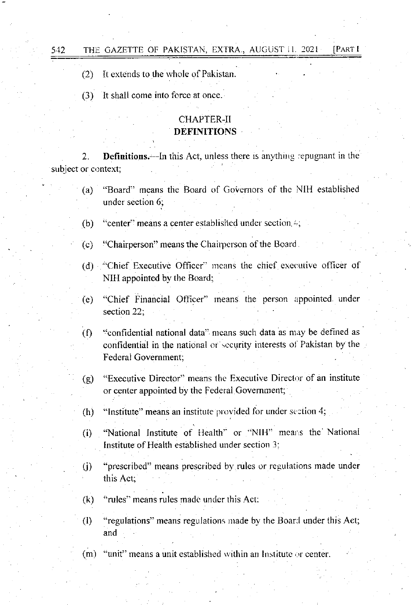$(2)$ It extends to the whole of Pakistan.

542

 $(3)$ It shall come into force at once.

# **CHAPTER-II DEFINITIONS**

 $2.$ **Definitions.**—In this Act, unless there is anything repugnant in the subject or context:

- "Board" means the Board of Governors of the NIH established  $(a)$ under section 6;
- $(b)$ "center" means a center established under section...
- "Chairperson" means the Chairperson of the Board.  $(c)$
- (d) "Chief Executive Officer" means the chief executive officer of NIH appointed by the Board;
- "Chief Financial Officer" means the person appointed under  $(e)$ section 22:
- "confidential national data" means such data as may be defined as  $(f)$ confidential in the national or security interests of Pakistan by the Federal Government:
- "Executive Director" means the Executive Director of an institute  $(g)$ or center appointed by the Federal Government;
- "Institute" means an institute provided for under section 4, (h)
- "National Institute of Health" or "NIH" means the National  $(i)$ Institute of Health established under section 3:
- "prescribed" means prescribed by rules or regulations made under  $(i)$ this Act:
- "rules" means rules made under this Act:  $(k)$
- "regulations" means regulations made by the Board under this Act;  $(1)$ and
- (m) "unit" means a unit established within an Institute or center.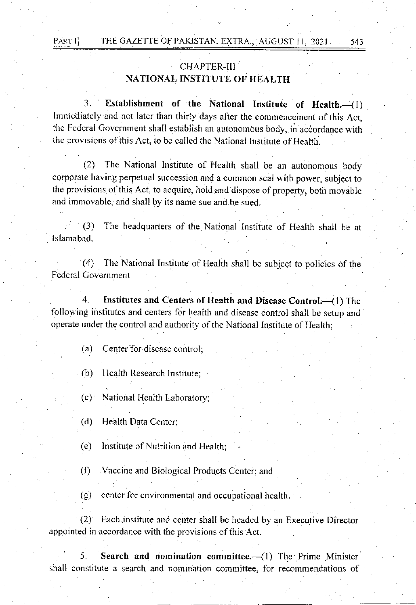# . CHAPTER-III NATIONAL INSTITUTE OF HEALTH

543

3. Establishment of the National Institute of Health. (1) Immediatcly and not later than thirfy'days after the commencement of this Act, the Federal Government shall establish an autonomous body, in accordance with the provisions of this Act, io be called rhe National lnstitute of Health.

(2) The National lnstitute of Health shall be an autonomous body corporate having perpetual succession and a common seal with power, subject to the provisions of this Act. to acquire, hold and dispose of property, both movable and immovable, and shall by its name sue and be sued.

(3) The headquarters of the National Institure of Health shalt be at Is lamabad.

'(4) The National Institute of Health shall be subject to policies of the Federal Government

4. Institutes and Centers of Health and Disease Control. (1) The following institutes and centers for health and disease control shall be setup and operate under the control and authority of the National Institute of Health:

(a) Center for disease control;

(b) Health Research Institute;

(c) National Health Laboratory;

(d) Health Data Center;

(e) Institute of Nutrition and Health;

(f) Vaccine and Biological Products Center; and

 $(g)$  center for environmental and occupational health.

(2) Each institute and center shall be headed by an Executive Director appointed in accordance with the provisions of this Act.

5. Search and nomination committee. $-(1)$  The Prime Minister shall constitute a search and nomination committee, for recommendations of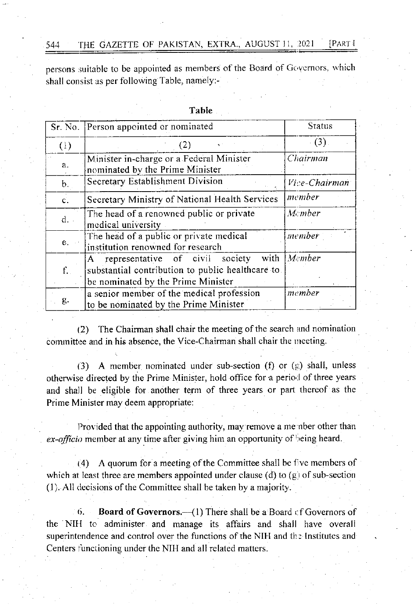**PARTI** THE GAZETTE OF PAKISTAN, EXTRA., AUGUST 11, 2021 544

persons suitable to be appointed as members of the Board of Governors, which shall consist as per following Table, namely:-

|                  | Sr. No. Person appointed or nominated                                                                                          | <b>Status</b>              |
|------------------|--------------------------------------------------------------------------------------------------------------------------------|----------------------------|
| (1)              | (2)                                                                                                                            | (3)                        |
| a.               | Minister in-charge or a Federal Minister<br>nominated by the Prime Minister                                                    | Chairman                   |
| b.               | Secretary Establishment Division                                                                                               | Vice-Chairman              |
| $\overline{c}$ . | Secretary Ministry of National Health Services                                                                                 | member                     |
| d.               | The head of a renowned public or private<br>medical university                                                                 | Member                     |
| e.               | The head of a public or private medical<br>institution renowned for research                                                   | member                     |
| f.               | representative of civil society<br>A<br>substantial contribution to public healthcare to<br>be nominated by the Prime Minister | with $\vert$ <i>M</i> mber |
| g.               | a senior member of the medical profession<br>to be nominated by the Prime Minister                                             | member                     |

Table

The Chairman shall chair the meeting of the search and nomination  $(2)$ committee and in his absence, the Vice-Chairman shall chair the meeting.

(3) A member nominated under sub-section (f) or  $(g)$  shall, unless otherwise directed by the Prime Minister, hold office for a period of three years and shall be eligible for another term of three years or part thereof as the Prime Minister may deem appropriate:

Provided that the appointing authority, may remove a member other than ex-officio member at any time after giving him an opportunity of being heard.

(4) A quorum for a meeting of the Committee shall be five members of which at least three are members appointed under clause (d) to  $(g)$  of sub-section (1). All decisions of the Committee shall be taken by a majority.

**Board of Governors.**  $-(1)$  There shall be a Board of Governors of  $6.$ the NIH to administer and manage its affairs and shall have overall superintendence and control over the functions of the NIH and the Institutes and Centers functioning under the NIH and all related matters.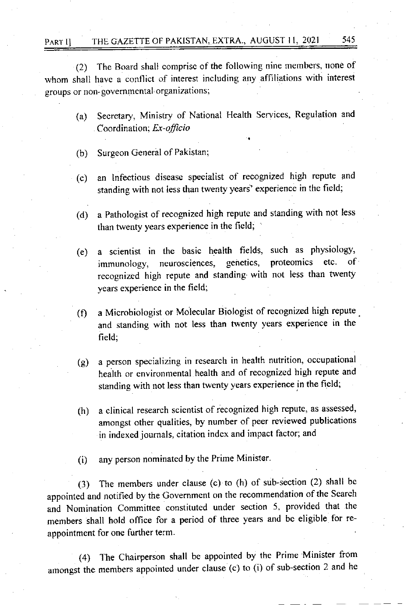# PART I] THE GAZETTE OF PAKISTAN, EXTRA., AUGUST 11, 2021 545

 $(2)$  The Board shall comprise of the following nine members, none of whom shall have a conflict of interest including any affiliations with interest groups or non-governmental organizations;

- (a) Secretary, Ministry of National Health Services, Regulation and Coordination; Ex-officio
- (b) Surgeon General of Pakistan;
- (c) an Infectious disease specialist of recognized high repute and standing with not less than twenty years' experience in the field;
- (d) <sup>a</sup>Pathologist of recognized high repute and standing with not less than twenty years experience in the field: '
- (e) a scientist in the basic health fields, such as physiology, immunology, neurosciences, genetics, recognized high repute and standing with not less than twenty years experiencc in the field;
- (f) a Microbiologist or Molecular Biologist of recognized high repute . and standing with not less than twenty years experience in the field;
- (g) a pcrson specializing in research in health nutrition, occupational health or environmental health and of recognized high repute and standing with not less than twenty years experience in the field;
- (h) a clinical research scientist of recognized high repute, as assessed, amongst other quatities, by number of peer reviewed publications in indexed joumals, citation index and impact factor; and
- (i) any person nominated by the Prime Minister

(3) The members under clause (c) to (h) of sub-section (2) shall be appointed and notified by the Government on the recommendation of the Search and Nomination Committee constituted under section 5. provided that the members shall hold office for a period of three years and be eligible for reappointment for one further tem.

(4) The Chairperson shalt be appointed by the Prime.Minister from arnongst the members appointed under clause (c) to (i) of sub-section 2 and he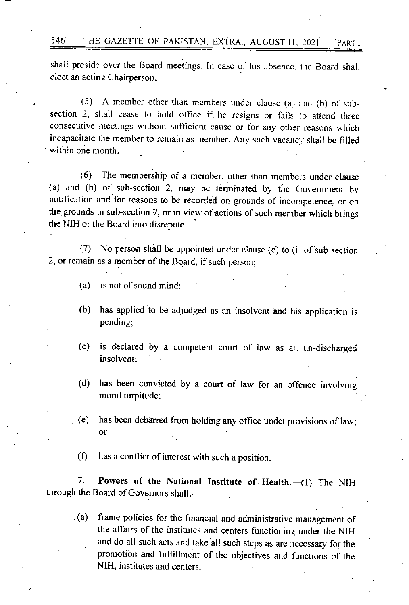shall preside over the Board meetings. In case of his absence, the Board shall elect an acting Chairperson.

(5) A member other than members under clause (a) and (b) of subsection 2, shall cease to hold office if he resigns or fails to attend three consecutive meetings without sufficient cause or for any other reasons which incapacitate the member to remain as member. Any such vacancy shall be filled within one month.

{6) The membership of a member; other than members under clause (a) and (b) of sub-section 2, may be terminated by the  $C_1$  overnment by notification and for reasons to be recorded on grounds of incompetence, or on the grounds in sub-section 7, or in view of actions of such member which brings thc NIH or the Board into disrepute.

(7) No person shall be appointed under clause (c) to (i) of sub-section 2, or remain as a member of the Board, if such person;

- $(a)$  is not of sound mind:
- (b) has applied to be adjudged as an insolvent and his application is pending;
- (c) is declared by a competent court of law as an un-discharged insolvent;
- (d) has been convicted by a court of law for an offence involving moral turpitude:
- (e) has been debarred from holding any office undet provisions of law; or
- $(f)$  has a conflict of interest with such a position.

7. Powers of the National Institute of Health. (1) The NIH through the Board of Govemors shall;

(a) frame policies for the financial and administrative management of the affairs of the institutes and centers functioning under the NIH . and do all such acts and take all such steps as are necessary for the promotion and fulfillment of the objectives and functions of the NIH, institutes and centers: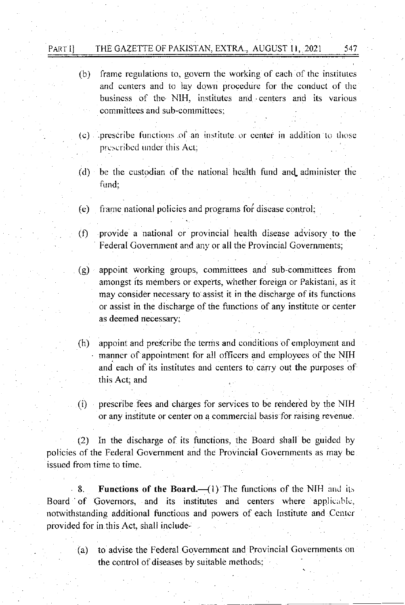#### THE GAZETTE OF PAKISTAN, EXTRA., AUGUST 11, 2021 Partii

- (b) frame regulations to, govern the working of each of the institutes and centers and to lay down procedure for the conduct of the business of the NIH, institutes and centers and its various committees and sub-committees:
- (c) prescribe functions of an institute or center in addition to those prescribed under this Act:
- (d) be the custodian of the national health fund and administer the fund:
- $(e)$ frame national policies and programs for disease control;
- provide a national or provincial health disease advisory to the  $(f)$ Federal Government and any or all the Provincial Governments;
- (g) appoint working groups, committees and sub-committees from amongst its members or experts, whether foreign or Pakistani, as it may consider necessary to assist it in the discharge of its functions or assist in the discharge of the functions of any institute or center as deemed necessary;
- $(h)$ appoint and prescribe the terms and conditions of employment and manner of appointment for all officers and employees of the NIH and each of its institutes and centers to carry out the purposes of this Act; and
- prescribe fees and charges for services to be rendered by the NIH  $(i)$ or any institute or center on a commercial basis for raising revenue.

In the discharge of its functions, the Board shall be guided by  $(2)$ policies of the Federal Government and the Provincial Governments as may be issued from time to time.

**Functions of the Board.**  $-$ (1) The functions of the NIH and its  $-8$ . Board of Governors, and its institutes and centers where applicable, notwithstanding additional functions and powers of each Institute and Center provided for in this Act, shall include-

to advise the Federal Government and Provincial Governments on  $(a)$ the control of diseases by suitable methods,

547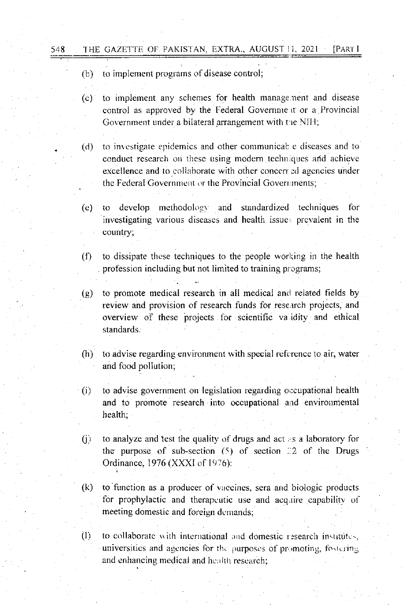$(b)$  to implement programs of disease control;

(c) to implement any schemes for health manage.nent and disease control as approved by the Federal Governme it or a Provincial Government under a bilateral arrangement with the NIH;

(d) to investigate epidemics and other communicable diseases and to conduct research on these using modern techniques and achieve excellence and to collaborate with other concerr ed agencies under the Federal Government or the Provincial Governments;

- (e) to develop methodology and standardized techniques for 'investigating various diseases and health issue prcvalent in the country;
- $(f)$  to dissipate these techniques to the people working in the health profession including but not limited to training programs;
- $(g)$  to promote medical research in all medical and related fields by review and provision of research funds for research projects, and overview of these projects for scientific va idity and ethical standards.
- $(h)$  to advise regarding environment with special reference to air, water and food pollution;
- (i) to advise government on legislation regarding occupational health and to promote research into occupational and environmental health;
- (j) to analyze and test the quality of drugs and act  $\epsilon$ s a laboratory for the purpose of sub-section  $(5)$  of section 22 of the Drugs Ordinance, 1976 (XXXI of I976):
- $(k)$  to function as a producer of vaccines, sera and biologic products for prophylactic and therapeutic use and acquire capability of meeting domestic and foreign dcnrands;

(I) to collaborate with international and domestic research institutes, universities and agencies for the purposes of promoting, fostering and enhancing medical and health research;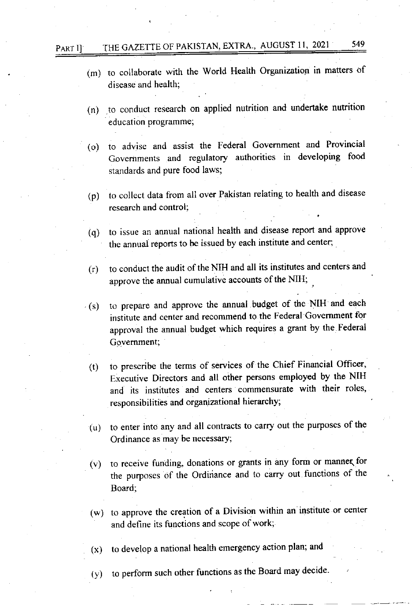# PART II: THE GAZETTE OF PAKISTAN, EXTRA., AUGUST 11, 2021 549

- (m) to collaborate with the World Health Organization in matters of <sup>d</sup>isease and health;
- (n) .to conduct research on applied nutrition and undertake nutrition education programme;
- (o) to advise and assist the Federal Government and Provincial Governments and regulatory authorities in developing food standards and pure food laws;
- (p) to collect data from all over Pakistan relating to health and disease research and control;
- (q) to issue an annual national health and disease report and approve the annual reports to be issued by each institute and center;
- (r) to conduct the audit ofthe NIH and all its institutes and centers and approve the annual cumulative accounts of the NIH; .
- (s) to prepare and approve the annual budget of the NIH and each institute and center and recommend to the Federal Govemment for approval the annual budget which requires a grant by the.Federal Govemment;
- (r) to prescribe the terms of services of the Chief Financial Officer, Executive Directors and all other persons employed by the NIH and its institutes and centers commensurate with their roles, responsibilities and organizational hierarchy;
- $(u)$  to enter into any and all contracts to carry out the purposes of the Ordinance as may be necessary;
- (v) to receive funding, donations or grants in any form or manneq for the purposes of the Ordiriance and to carry out functions of the Board;
- (w) to approve the creation of a Division within an institute or center and define its functions and scope of work;

(x) to develop a national health emergency action plan; and

 $(y)$  to perform such other functions as the Board may decide.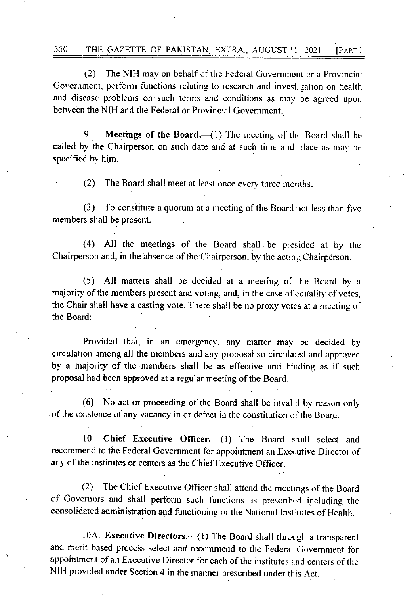#### 550 THE GAZETTE OF PAKISTAN, EXTRA., AUGUST 11 2021 [PART I

 $(2)$ The NIH may on behalf of the Federal Government or a Provincial Government, perform functions relating to research and investigation on health and disease problems on such terms and conditions as may be agreed upon between the NIH and the Federal or Provincial Government.

9. **Meetings of the Board.**  $-(1)$  The meeting of the Board shall be called by the Chairperson on such date and at such time and place as may be specified by him.

The Board shall meet at least once every three months.  $(2)$ 

 $(3)$ To constitute a quorum at a meeting of the Board not less than five members shall be present.

(4) All the meetings of the Board shall be presided at by the Chairperson and, in the absence of the Chairperson, by the acting Chairperson.

All matters shall be decided at a meeting of the Board by a  $(5)$ majority of the members present and voting, and, in the case of equality of votes, the Chair shall have a casting vote. There shall be no proxy votes at a meeting of the Board:

Provided that, in an emergency, any matter may be decided by circulation among all the members and any proposal so circulated and approved by a majority of the members shall be as effective and binding as if such proposal had been approved at a regular meeting of the Board.

(6) No act or proceeding of the Board shall be invalid by reason only of the existence of any vacancy in or defect in the constitution of the Board.

 $10<sup>-10</sup>$ Chief Executive Officer.-(1) The Board shall select and recommend to the Federal Government for appointment an Executive Director of any of the institutes or centers as the Chief Executive Officer.

(2) The Chief Executive Officer shall attend the meetings of the Board of Governors and shall perform such functions as prescribed including the consolidated administration and functioning of the National Institutes of Health.

10A. Executive Directors.-- (1) The Board shall through a transparent and merit based process select and recommend to the Federal Government for appointment of an Executive Director for each of the institutes and centers of the NIH provided under Section 4 in the manner prescribed under this Act.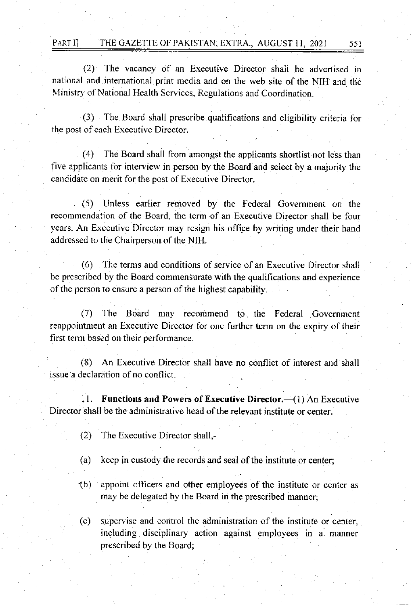(2) The vacancy of an Executive Director shall be advertised in national and intemational print media and on the web site of the NIH and the Ministry of National Health Services, Regulations and Coordination.

(3) The Board shall prescribe qualifications and eligibility criteria for the post of each Erecutive Director.

The Board shall from amongst the applicants shortlist not less than five applicants for interview in person by the Board and select by a majority the candidate on merit for the post of Executive Director.

(5) Unless earlier removed by the Federal Govemment on the recommendation of the Board, the term of an Executive Director shall be four years. An Executive Director may resign his office by writing under their hand addressed to the Chairperson of the NIH.

(6) The terms and conditions of service of an Executive Director shall be prescribed by the Board commensurate with the qualifications and experience of the person to ensure a person of the highest capability.

(7) The Bdard may recommend to the Federal Government reappointment an Executive Director for one further term on the expiry of their first term based on their performance.

(8) An Executive Director shall have no conflict of interest and shall issue a declaration of no conflict.

11. Functions and Powers of Executive Director. (1) An Executive Director shall be the administrative head of the relevant institute or center.

- $(2)$  The Executive Director shall,-
- (a) keep in custody the records and seal of the institute or center;
- '1b) appoint officers and other employees of the institute or center as may be delegated by the Board in the prescribed manner;
- (c) superv'ise and control the administration of the institute or center, including disciplinary action against employees in a manner prescribed by the Board;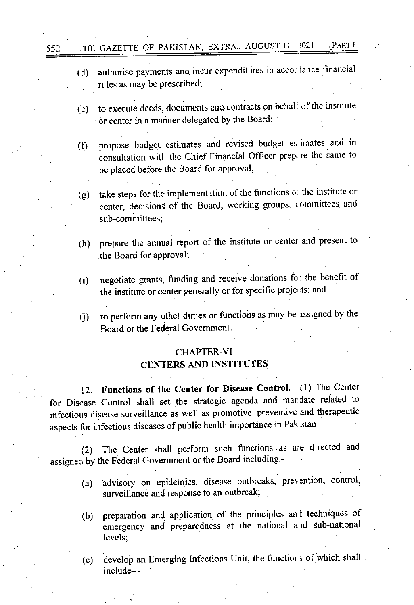#### THE GAZETTE OF PAKISTAN, EXTRA., AUGUST 11, 2021 [PART I

552

- authorise payments and incur expenditures in accordance financial  $(d)$ rules as may be prescribed:
- to execute deeds, documents and contracts on behalf of the institute  $(e)$ or center in a manner delegated by the Board;
- propose budget estimates and revised budget estimates and in  $(f)$ consultation with the Chief Financial Officer prepare the same to be placed before the Board for approval;
- take steps for the implementation of the functions of the institute or  $(g)$ center, decisions of the Board, working groups, committees and sub-committees:
- prepare the annual report of the institute or center and present to  $(h)$ the Board for approval;
- negotiate grants, funding and receive donations for the benefit of  $(i)$ the institute or center generally or for specific projects; and
- to perform any other duties or functions as may be assigned by the  $\ddot{\Omega}$ Board or the Federal Government.

# CHAPTER-VI **CENTERS AND INSTITUTES**

12. Functions of the Center for Disease Control.-(1) The Center for Disease Control shall set the strategic agenda and mar late related to infectious disease surveillance as well as promotive, preventive and therapeutic aspects for infectious diseases of public health importance in Pak stan

The Center shall perform such functions as are directed and  $(2)$ assigned by the Federal Government or the Board including,-

- advisory on epidemics, disease outbreaks, prevention, control,  $(a)$ surveillance and response to an outbreak;
- preparation and application of the principles and techniques of  $(b)$ emergency and preparedness at the national and sub-national levels;
- develop an Emerging Infections Unit, the functions of which shall  $(c)$ include-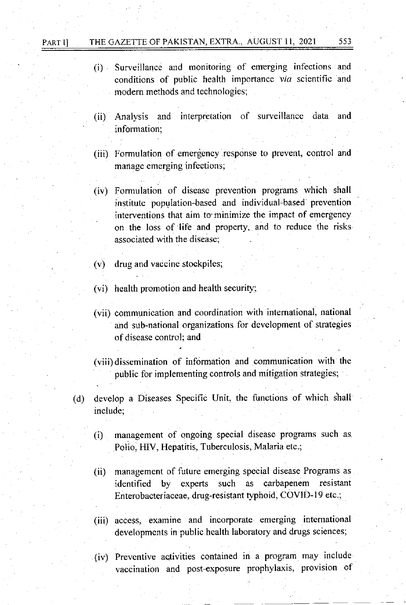### PART I] THE GAZETTE OF PAKISTAN, EXTRA., AUGUST 11, 2021 553

- (i) Surveillance and monitoring of emerging infections and conditions of public health importance via scientific and modern methods and technologies;
- (ii) Analysis and interpretation of surveillance data and information;
- (iii) Formulation of emergency response to prevent, control and manage emerging infections;
- (iv) Formulation of disease prevention programs which shall institute population-based and individual-based prevention interventions that aim to minimize the impact of emergency on the loss of life and property, and to reduce the risks associated with the disease;
- (v) drug and vaccine stockpiles;
- (vi) health promotion and health security;
- (vii) communication and coordination with intemational, national and sub-national organizations for development of strategies of disease control; and

(viii) dissemination of information and communication with the public for implementing controls and mitigation strategies;

- (d) develop a Diseases Specific Unit, the functions of which shall include;
	- (i) management of ongoing special disease programs such as Polio, HIV, Hepatitis, Tuberculosis, Malaria etc.;
	- (ii) management of future emerging special disease Programs as identified by experts such as carbapenem resistant Enterobacteriaceae, drug-resistant typhoid, COVID-19 etc.;
	- (iii) access, examine and incorporate emerging intemational developments in public health laboratory and drugs sciences;
	- (iv) Preventive activities contained in a program may include vaccination and post-exposure prophylaxis, provision of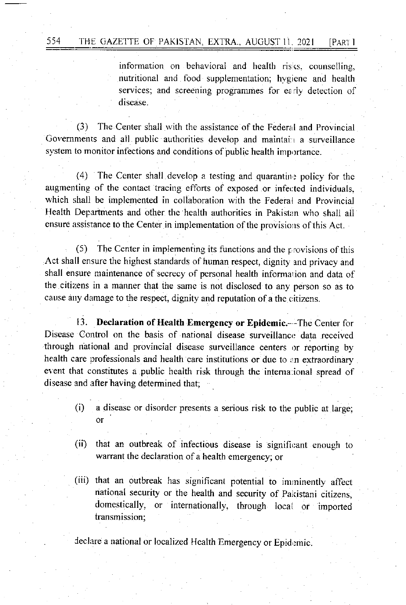information on behavioral and health risks, counselling, nutritional and food supplementation; hygiene and health services; and screening programmes for early detection of disease.

(3) The Center shall with the assistance of the Federal and Provincial Governments and all public authorities develop and maintain a surveillance system to monitor infections and conditions of public health importance.

 $(4)$  The Center shall develop a testing and quarantine policy for the augmenting of the contact tracing efforts of exposed or infected individuals, which shall be implemented in collaboration with the Federal and Provincial Health Departments and other the health authorities in Pakistan who shall all ensure assistance to the Center in implementation of the provisions of this Act.

 $(5)$  The Center in implementing its functions and the provisions of this Act shall ensure the highest standards of human respect, dignity and privacy and shall ensure maintenance of secrecy of personal health information and data of the citizens in a manner that the same is not disclosed to any person so as to cause any damage to the respect, dignity and reputation of a the citizens.

13. Declaration of Health Emergency or Epidemic.—The Center for Disease Control on the basis of national disease surveillance data received through national and provincial disease surveillance centers or reporting by health care professionals and health care institutions or due to an extraordinary event that constitutes a public health risk through the international spread of disease and after having determined that;

- (i) a disease or disorder presents a serious risk to the pubtic at large; or
- (ii) that an outbreak of infectious disease is significant enough to warrant the declaration of a health emergency; or
- (iii) that an outbreak has significant potential to imrninently affect national security or the health and security of pakistani citizens, domestically, or intemationally, through locai or imported transmission;

declare a national or localized Health Emergency or Epidemic.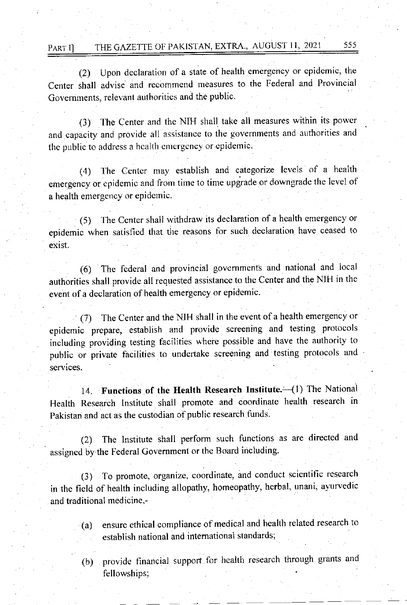# PART I] THE GAZETTE OF PAKISTAN, EXTRA., AUGUST 11, 2021 555

(2) Upon declaration of a state of health emergency or epidemic, the Center shall advise and recommcnd measures to the Federal and Provincial Govemments, relevant authorities and the public.

(3) The Center and the NIH shall take all measures within its powcr and capaciry and provide all assistance to the governments and authorities and the public to address a health emergency or epidemic.

(4) The Center may establish and categorize levels of a health emergency or epidemic and from time to time upgrade or downgrade the level of a health emergency or epidemic.

(5) The Center shall withdraw its declaration of a health cmergency or epidemic when satisfied that the reasons for such declaration have ceased to exist.

(6) The federal and provincial governments and national and local authorities shall provide all requested assistance to the Center and the NIH in the event of a declaration of health emergency or epidemic.

(7) The Center and the NIH shall in the event of a health emergency or epidemic prepare, establish and provide screening and testing protocols including providing testing facilities vvhere possible and have the authority to public or private facilities to undettake screening and testing protocols and services.

14. Functions of the Health Research Institute. (1) The National Health Research tnstitute shall promote and coordinate health research in Pakistan and act as the custodian of public research funds.

(2) The lnstitute shall perform such functions as are directed and assigned by the Federal Government or the Board including.

(3) To promote, organize, coordinate, and conduct scientific research in the field of health inctuding allopathy, homeopathy, herbal, unani, avurvedic and traditional medicine.-

- (a) ensure ethical compliance of medical and health related research to establish national and intemational standards;
- (b) provide financial support for health research through grants and fellowships;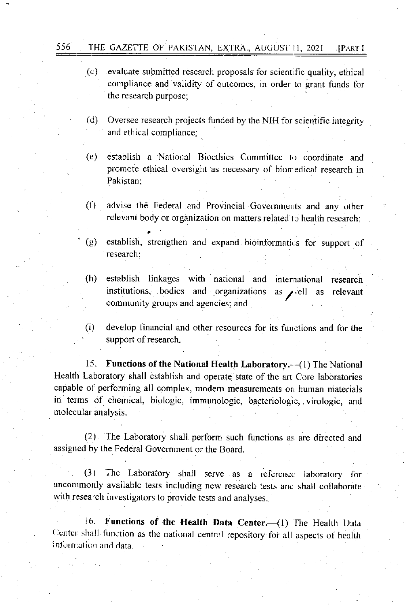556 THE GAZETTE OF PAKISTAN, EXTRA., AUGUST 11, 202) . [PART <sup>I</sup>

- (e) evaluate submitted research proposals for scientific quality, ethical compliance and validity of outcomes, in order to grant funds for the research purpose;
- (d) Oversee research projects funded by the NIH for scientific integrity and ethical compliance;
- (e) establish a National Bioethics Committee to coordinate and promote ethical oversight as necessary of bion edical research in Pakistan:
- (l') advise the Federal and Provincial Governments and any other relevant body or organization on matters related to health research;
- (e) establish, strengthen and expand bioinformatics for support of research;
- (h) establish linkages with national and institutions, bodies and organizations community groups and agencies; and intenrational research as  $\rho$ , ell as relevant
- $(i)$  develop financial and other resources for its functions and for the support of research.

15. Functions of the National Health Laboratory.--(1) The National Health Laboratory shall establish and operate state of the arr Core laboratories capable of performing all complex, modern measurements on human materials in terms of chemical, biologic, immunologic, bacteriologic, virologic, and molecular analysis.

(2) The Laboratory shall perform such functions as are directed and assigned by the Federal Government or the Board.

(3) The Laboratory shall serve as a reference laboratory for uncommonly available tests including new research tests anc shall collaborate with research investigators to provide tests and analyses.

16. Functions of the Health Data Center.-(1) The Health Data Center shall function as the national central repository for all aspects of health information and data.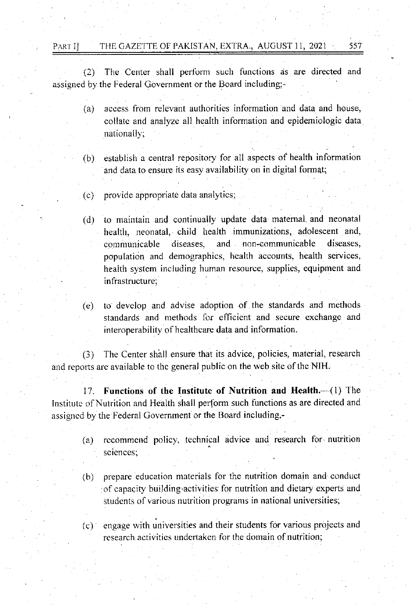PART I] THE GAZETTE OF PAKISTAN, EXTRA., AUGUST 11, 2021 557

 $(2)$  The Center shall perform such functions as are directed and assigned by the Federal Government or the Board including;-

> (a) access from relevant authorities information and data and house, collate and analyze all health information and epidemiologic data nationall):

> (b) establish a central repository for all aspects of health information and data to ensure its easy availability on in digital format;

(c) provide appropriate data analytics;

(d) to maintain and continually update data matemal. and neonatal health, neonatal, child health immunizations, adolescent and, communicable diseases, and non-communicable diseases, population and demographics, health accounts, health services, health system including human resource, supplies, equipment and infrastructure;

(e) to devclop and advise adoption of the standards and rnethods standards and methods for efficient and secure exchange and interoperability of healthcare data and information.

(3) The Center shall ensure that its advice, policies, material, research and reports are available to the general public on the web site ofthe NIH.

17. Functions of the Institute of Nutrition and Health.--(1) The Institute of Nutrition and Health shall perform such functions as are directed and assigncd by the Federal Government or the Board including,-

- (a) recommend policy, technical advice and research for nutrition sciences;
- (b) prepare education materials for the nutrition domain and conduct of capacity building activities for nutrition and dietary experts and students of various nutrition programs in national universities;
- (c)' engage lvith universities and their students for various projects and research activities undertaken for the domain of nutrition;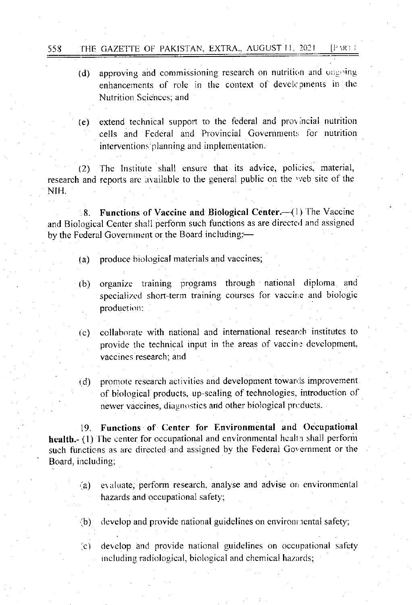- (d) approving and commissioning research on nutrition and ongoing enhancements of role in the context of devel pinents in the Nutrition Sciences: and
- extend technical support to the federal and provincial nutrition  $(e)$ cells and Federal and Provincial Governments for nutrition interventions planning and implementation.

(2) The Institute shall ensure that its advice, policies, material, research and reports are available to the general public on the web site of the NIH.

Functions of Vaccine and Biological Center. (1) The Vaccine  $8.1$ and Biological Center shall perform such functions as are directed and assigned by the Federal Government or the Board including:-

- produce biological materials and vaccines;  $(a)$
- organize training programs through national diploma and  $(b)$ specialized short-term training courses for vaccine and biologic production;
- collaborate with national and international research institutes to  $(c)$ provide the technical input in the areas of vaccine development, vaccines research; and
- promote research activities and development towards improvement.  $(d)$ of biological products, up-scaling of technologies, introduction of newer vaccines, diagnostics and other biological products.

19. Functions of Center for Environmental and Occupational health. (1) The center for occupational and environmental health shall perform such functions as are directed and assigned by the Federal Government or the Board, including;

- evaluate, perform research, analyse and advise on environmental  $(a)$ hazards and occupational safety;
- $(b)$ develop and provide national guidelines on environmental safety;
- $(c)$ develop and provide national guidelines on occupational safety including radiological, biological and chemical hazards;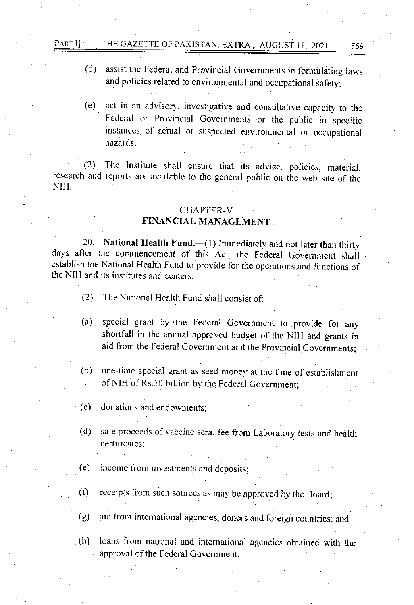# PART I] THE GAZETTE OF PAKISTAN, EXTRA, AUGUST 11, 2021 559

- (d) assist the Federal and Provincial Governments in fonnulating larvs and policies related to environmental and occupational safety;
- (e) act in an advisory, investigative and consultative capacity to the Fedcral or Provincial Govemments or the public in specific instances of actual or suspected environmental or occupational hazards.

(2) The Institute shall ensure that its advice, policies, material. research and reports are available to the general public on the web site of the NIH.

# CHAPTER-V

# FINANCIAL MANAGEMENT

20. National Health Fund. $-({}1)$  Immediately and not later than thirty days after the commencement of this Act, the Federal Government shall establish the National Health Fund to provide for the operations and functions of the NIH and its institutes and cenrers.

- $(2)$ : The National Health Fund shall consist of:
- (a) special grant by the Federal Government to provide for any shortfall in the annual approved budget of the NIH and grants in aid from the Federal Govemment and the provincial Governments:
- (b) one-time special grant as seed money at the time of establishment of NIH of Rs.50 billion by the Federal Goyernment;
- (c) donations and endowments;
- (d) sale proceeds of vaccine sera, fee from Laboratory tests and health certificates:
- $(e)$  income from investments and deposits;
- (f) receipts from such sources as may be approved by the Board;
- (g) aid from international agencies, donors and foreign countries; and

(h) loans from national and intemalional agencies obtaired with the approval of the Federal Government.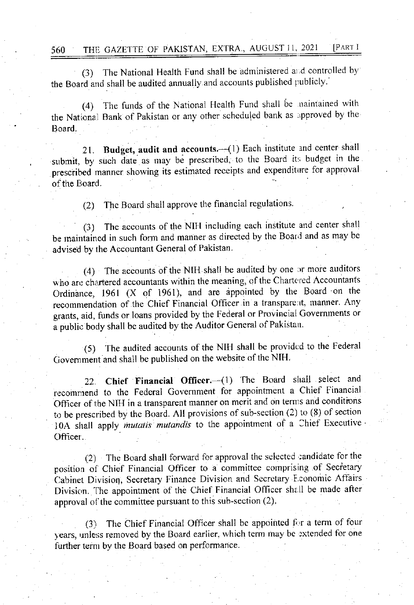(3) The National Health Fund shall be administered and controlled by the Board and shall be audited annually and accounts publishcd publicly

(4) The funds of the National Health Fund shall be naintained with the National Bank of Pakistan or any other scheduled bank as approved by the Board.

21. Budget, audit and accounts.-(1) Each institute and center shall submit, by such date as may be prescribed, to the Board its budget in the prescribed manner showing its estimated receipts and expenditure for approval of the Board.

(2) The Board shall approve the financial regulations'

(3) The accounts of the NIH including each institute and center shall be maintained in such form and manner as directed by the Board and as may be advised by fhe Accountant General of Pakistan

 $(4)$  The accounts of the NIH shall be audited by one or more auditors who are chartered accountants within the meaning, of the Chartered Accountants Ordinance, 1961 (X of 1961), and are appointed by the Board on the recommendation of the Chief Financial Officer in a transparent, manner. Any grants, aid, funds or loans provided by the Federal or Provincial Govemments or a public body shall be audited by the Auditor General of Pakistan.

(5) The audited accounts of the NIH shall be provided to the Federal Government and shall be published on the website of the NIH.

22. Chief Financial Officer. (1) The Board shall select and recommend to the Federal Government for appointment a Chief Financial Officer of the NIH in a transparent manner on merit and on terms and conditions to be prescribed by the Board. All provisions of sub-section  $(2)$  to  $(8)$  of section 10A shall apply mutatis mutandis to the appointment of a Chief Executive Officer.

(2) The Board shall forward for approval the selected candidate for the position of Chief Financial Officer to a committee comprising of Secretary Cabinet Division, Secretary Finance Division and Secretary Economic Affairs Division. The appointment of the Chief Financial Officer shall be made after approval of the committee pursuant to this sub-section  $(2)$ .

(3) The Chief Financial Officer shall be appointed for a term of four years, unless removed by the Board earlier, which term may be extended for one further term by the Board based on performance.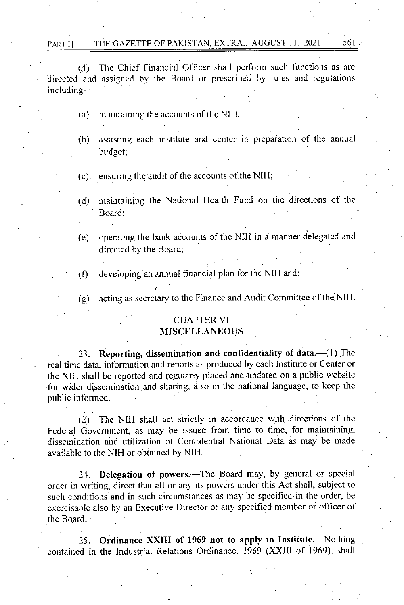#### PART I THE GAZETTE OF PAKISTAN, EXTRA., AUGUST 11, 2021 561

(4) The Chief Financial Officer shall perform such functions as are directed and assigned by the Board or prescribed by rules and regulations includ ing-

- $(a)$  maintaining the accounts of the NIH;
- (b) assisting each institute and center in preparation of the anuual budget:
- $(c)$  ensuring the audit of the accounts of the NIH;
- (d) maintaining the National Health Fund on the directions of the Board;
- (e) operating the bank accounts of the NIH in a manner delegated and directed by the Board;
- (f) developing an annual financial plan for the NIH and;
- (g) acting as secretary to the Finance and Audit Committee of the NIH.

# CHAPTER VI

# **MISCELLANEOUS**

23. Reporting, dissemination and confidentiality of data. $-(1)$  The real time data, information and reports as produced by each Institute or Center or the NIH shalt be reported and regularly placed and updated on a public website for wider dissemination and sharing, also in the national language, to keep the public informed.

(2) The NIH shall act strictly in accordance wilh directions of the Federal Govemment, as may be issued from time to time, for maintaining. dissemination and utilization of Confidential National Data as may be made available to the NIH or obtained by NIH.

24. Delegation of powers.—The Board may, by general or special order in writing, direct that all or any its powers under this Act shall, subject to such conditions and in such circumstances as may be specified in the order, be exercisable also by an Executive Director or any specified member or officer of the Board.

25. Ordinance XXIII of 1969 not to apply to Institute.-Nothing contained in the Industrial Relations Ordinance, 1969 (XXIII of 1969), shall